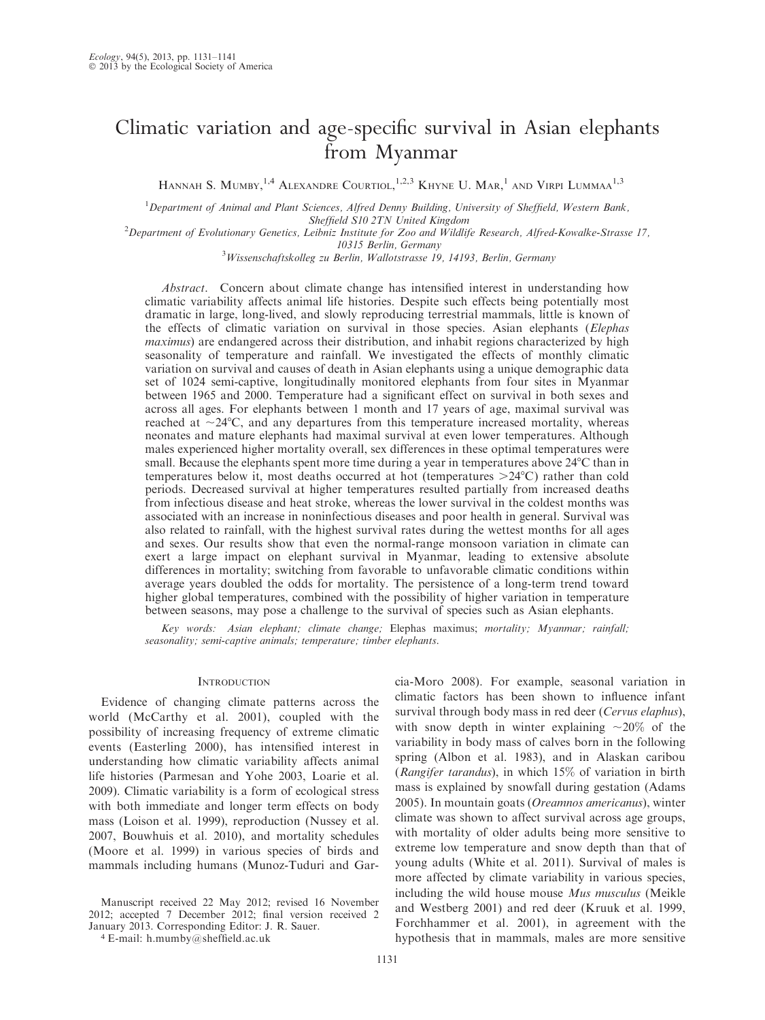# Climatic variation and age-specific survival in Asian elephants from Myanmar

HANNAH S. MUMBY, <sup>1,4</sup> Alexandre Courtiol, <sup>1,2,3</sup> Khyne U. Mar, <sup>1</sup> and Virpi Lummaa<sup>1,3</sup>

<sup>1</sup>Department of Animal and Plant Sciences, Alfred Denny Building, University of Sheffield, Western Bank, Sheffield S10 2TN United Kingdom<br><sup>2</sup>Department of Evolutionary Genetics, Leibniz Institute for Zoo and Wildlife Research, Alfred-Kowalke-Strasse 17,

10315 Berlin, Germany <sup>3</sup> Wissenschaftskolleg zu Berlin, Wallotstrasse 19, 14193, Berlin, Germany

Abstract. Concern about climate change has intensified interest in understanding how climatic variability affects animal life histories. Despite such effects being potentially most dramatic in large, long-lived, and slowly reproducing terrestrial mammals, little is known of the effects of climatic variation on survival in those species. Asian elephants (*Elephas* maximus) are endangered across their distribution, and inhabit regions characterized by high seasonality of temperature and rainfall. We investigated the effects of monthly climatic variation on survival and causes of death in Asian elephants using a unique demographic data set of 1024 semi-captive, longitudinally monitored elephants from four sites in Myanmar between 1965 and 2000. Temperature had a significant effect on survival in both sexes and across all ages. For elephants between 1 month and 17 years of age, maximal survival was reached at  $\sim$ 24 $\degree$ C, and any departures from this temperature increased mortality, whereas neonates and mature elephants had maximal survival at even lower temperatures. Although males experienced higher mortality overall, sex differences in these optimal temperatures were small. Because the elephants spent more time during a year in temperatures above  $24^{\circ}$ C than in temperatures below it, most deaths occurred at hot (temperatures  $>24^{\circ}$ C) rather than cold periods. Decreased survival at higher temperatures resulted partially from increased deaths from infectious disease and heat stroke, whereas the lower survival in the coldest months was associated with an increase in noninfectious diseases and poor health in general. Survival was also related to rainfall, with the highest survival rates during the wettest months for all ages and sexes. Our results show that even the normal-range monsoon variation in climate can exert a large impact on elephant survival in Myanmar, leading to extensive absolute differences in mortality; switching from favorable to unfavorable climatic conditions within average years doubled the odds for mortality. The persistence of a long-term trend toward higher global temperatures, combined with the possibility of higher variation in temperature between seasons, may pose a challenge to the survival of species such as Asian elephants.

Key words: Asian elephant; climate change; Elephas maximus; mortality; Myanmar; rainfall; seasonality; semi-captive animals; temperature; timber elephants.

# **INTRODUCTION**

Evidence of changing climate patterns across the world (McCarthy et al. 2001), coupled with the possibility of increasing frequency of extreme climatic events (Easterling 2000), has intensified interest in understanding how climatic variability affects animal life histories (Parmesan and Yohe 2003, Loarie et al. 2009). Climatic variability is a form of ecological stress with both immediate and longer term effects on body mass (Loison et al. 1999), reproduction (Nussey et al. 2007, Bouwhuis et al. 2010), and mortality schedules (Moore et al. 1999) in various species of birds and mammals including humans (Munoz-Tuduri and Gar-

Manuscript received 22 May 2012; revised 16 November 2012; accepted 7 December 2012; final version received 2 January 2013. Corresponding Editor: J. R. Sauer.

<sup>4</sup> E-mail: h.mumby@sheffield.ac.uk

cia-Moro 2008). For example, seasonal variation in climatic factors has been shown to influence infant survival through body mass in red deer (Cervus elaphus), with snow depth in winter explaining  $\sim 20\%$  of the variability in body mass of calves born in the following spring (Albon et al. 1983), and in Alaskan caribou (Rangifer tarandus), in which 15% of variation in birth mass is explained by snowfall during gestation (Adams 2005). In mountain goats (Oreamnos americanus), winter climate was shown to affect survival across age groups, with mortality of older adults being more sensitive to extreme low temperature and snow depth than that of young adults (White et al. 2011). Survival of males is more affected by climate variability in various species, including the wild house mouse Mus musculus (Meikle and Westberg 2001) and red deer (Kruuk et al. 1999, Forchhammer et al. 2001), in agreement with the hypothesis that in mammals, males are more sensitive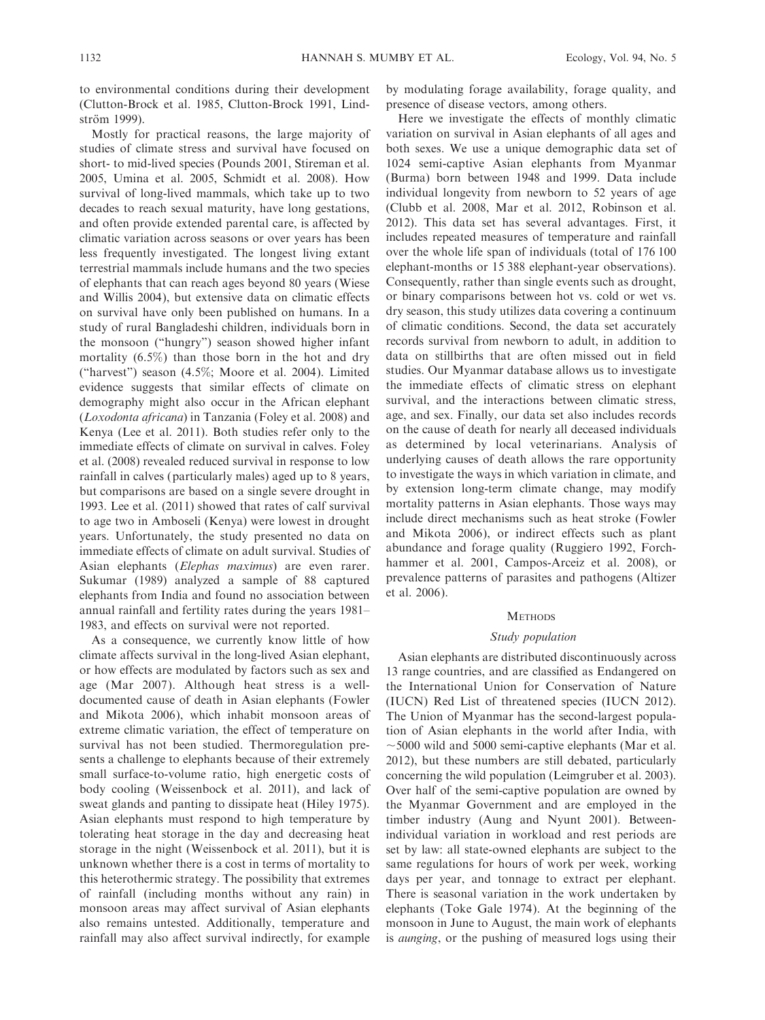to environmental conditions during their development (Clutton-Brock et al. 1985, Clutton-Brock 1991, Lindström 1999).

Mostly for practical reasons, the large majority of studies of climate stress and survival have focused on short- to mid-lived species (Pounds 2001, Stireman et al. 2005, Umina et al. 2005, Schmidt et al. 2008). How survival of long-lived mammals, which take up to two decades to reach sexual maturity, have long gestations, and often provide extended parental care, is affected by climatic variation across seasons or over years has been less frequently investigated. The longest living extant terrestrial mammals include humans and the two species of elephants that can reach ages beyond 80 years (Wiese and Willis 2004), but extensive data on climatic effects on survival have only been published on humans. In a study of rural Bangladeshi children, individuals born in the monsoon (''hungry'') season showed higher infant mortality (6.5%) than those born in the hot and dry (''harvest'') season (4.5%; Moore et al. 2004). Limited evidence suggests that similar effects of climate on demography might also occur in the African elephant (Loxodonta africana) in Tanzania (Foley et al. 2008) and Kenya (Lee et al. 2011). Both studies refer only to the immediate effects of climate on survival in calves. Foley et al. (2008) revealed reduced survival in response to low rainfall in calves (particularly males) aged up to 8 years, but comparisons are based on a single severe drought in 1993. Lee et al. (2011) showed that rates of calf survival to age two in Amboseli (Kenya) were lowest in drought years. Unfortunately, the study presented no data on immediate effects of climate on adult survival. Studies of Asian elephants (Elephas maximus) are even rarer. Sukumar (1989) analyzed a sample of 88 captured elephants from India and found no association between annual rainfall and fertility rates during the years 1981– 1983, and effects on survival were not reported.

As a consequence, we currently know little of how climate affects survival in the long-lived Asian elephant, or how effects are modulated by factors such as sex and age (Mar 2007). Although heat stress is a welldocumented cause of death in Asian elephants (Fowler and Mikota 2006), which inhabit monsoon areas of extreme climatic variation, the effect of temperature on survival has not been studied. Thermoregulation presents a challenge to elephants because of their extremely small surface-to-volume ratio, high energetic costs of body cooling (Weissenbock et al. 2011), and lack of sweat glands and panting to dissipate heat (Hiley 1975). Asian elephants must respond to high temperature by tolerating heat storage in the day and decreasing heat storage in the night (Weissenbock et al. 2011), but it is unknown whether there is a cost in terms of mortality to this heterothermic strategy. The possibility that extremes of rainfall (including months without any rain) in monsoon areas may affect survival of Asian elephants also remains untested. Additionally, temperature and rainfall may also affect survival indirectly, for example

by modulating forage availability, forage quality, and presence of disease vectors, among others.

Here we investigate the effects of monthly climatic variation on survival in Asian elephants of all ages and both sexes. We use a unique demographic data set of 1024 semi-captive Asian elephants from Myanmar (Burma) born between 1948 and 1999. Data include individual longevity from newborn to 52 years of age (Clubb et al. 2008, Mar et al. 2012, Robinson et al. 2012). This data set has several advantages. First, it includes repeated measures of temperature and rainfall over the whole life span of individuals (total of 176 100 elephant-months or 15 388 elephant-year observations). Consequently, rather than single events such as drought, or binary comparisons between hot vs. cold or wet vs. dry season, this study utilizes data covering a continuum of climatic conditions. Second, the data set accurately records survival from newborn to adult, in addition to data on stillbirths that are often missed out in field studies. Our Myanmar database allows us to investigate the immediate effects of climatic stress on elephant survival, and the interactions between climatic stress, age, and sex. Finally, our data set also includes records on the cause of death for nearly all deceased individuals as determined by local veterinarians. Analysis of underlying causes of death allows the rare opportunity to investigate the ways in which variation in climate, and by extension long-term climate change, may modify mortality patterns in Asian elephants. Those ways may include direct mechanisms such as heat stroke (Fowler and Mikota 2006), or indirect effects such as plant abundance and forage quality (Ruggiero 1992, Forchhammer et al. 2001, Campos-Arceiz et al. 2008), or prevalence patterns of parasites and pathogens (Altizer et al. 2006).

# **METHODS**

## Study population

Asian elephants are distributed discontinuously across 13 range countries, and are classified as Endangered on the International Union for Conservation of Nature (IUCN) Red List of threatened species (IUCN 2012). The Union of Myanmar has the second-largest population of Asian elephants in the world after India, with  $\sim$  5000 wild and 5000 semi-captive elephants (Mar et al. 2012), but these numbers are still debated, particularly concerning the wild population (Leimgruber et al. 2003). Over half of the semi-captive population are owned by the Myanmar Government and are employed in the timber industry (Aung and Nyunt 2001). Betweenindividual variation in workload and rest periods are set by law: all state-owned elephants are subject to the same regulations for hours of work per week, working days per year, and tonnage to extract per elephant. There is seasonal variation in the work undertaken by elephants (Toke Gale 1974). At the beginning of the monsoon in June to August, the main work of elephants is aunging, or the pushing of measured logs using their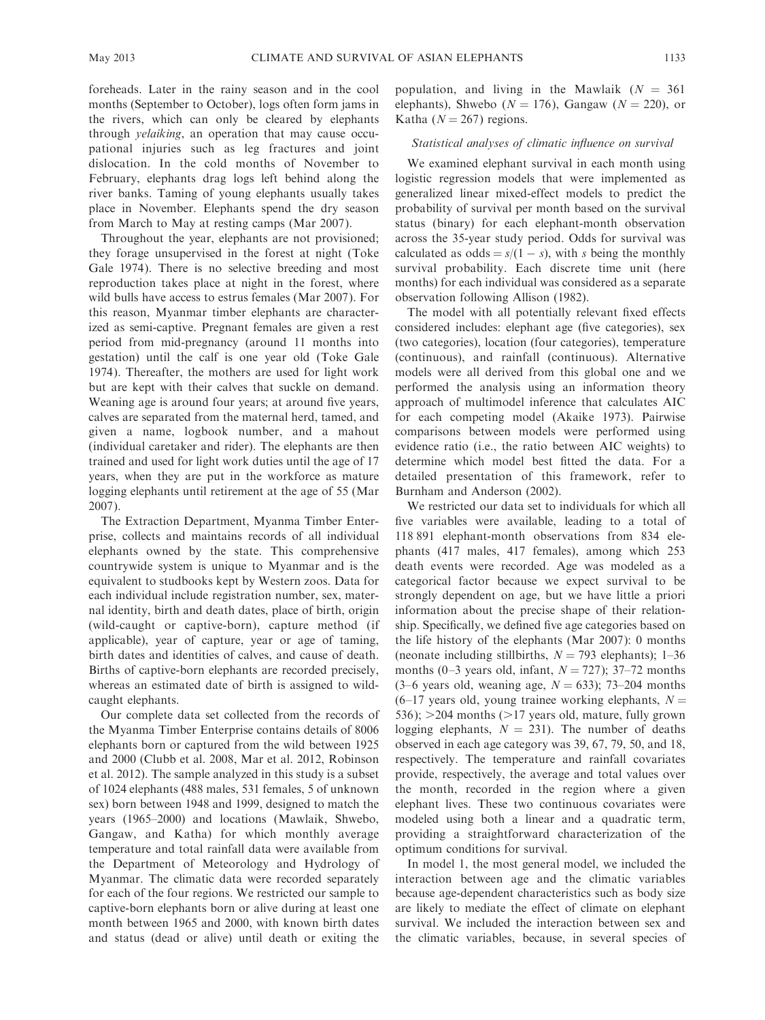foreheads. Later in the rainy season and in the cool months (September to October), logs often form jams in the rivers, which can only be cleared by elephants through *yelaiking*, an operation that may cause occupational injuries such as leg fractures and joint dislocation. In the cold months of November to February, elephants drag logs left behind along the river banks. Taming of young elephants usually takes place in November. Elephants spend the dry season from March to May at resting camps (Mar 2007).

Throughout the year, elephants are not provisioned; they forage unsupervised in the forest at night (Toke Gale 1974). There is no selective breeding and most reproduction takes place at night in the forest, where wild bulls have access to estrus females (Mar 2007). For this reason, Myanmar timber elephants are characterized as semi-captive. Pregnant females are given a rest period from mid-pregnancy (around 11 months into gestation) until the calf is one year old (Toke Gale 1974). Thereafter, the mothers are used for light work but are kept with their calves that suckle on demand. Weaning age is around four years; at around five years, calves are separated from the maternal herd, tamed, and given a name, logbook number, and a mahout (individual caretaker and rider). The elephants are then trained and used for light work duties until the age of 17 years, when they are put in the workforce as mature logging elephants until retirement at the age of 55 (Mar 2007).

The Extraction Department, Myanma Timber Enterprise, collects and maintains records of all individual elephants owned by the state. This comprehensive countrywide system is unique to Myanmar and is the equivalent to studbooks kept by Western zoos. Data for each individual include registration number, sex, maternal identity, birth and death dates, place of birth, origin (wild-caught or captive-born), capture method (if applicable), year of capture, year or age of taming, birth dates and identities of calves, and cause of death. Births of captive-born elephants are recorded precisely, whereas an estimated date of birth is assigned to wildcaught elephants.

Our complete data set collected from the records of the Myanma Timber Enterprise contains details of 8006 elephants born or captured from the wild between 1925 and 2000 (Clubb et al. 2008, Mar et al. 2012, Robinson et al. 2012). The sample analyzed in this study is a subset of 1024 elephants (488 males, 531 females, 5 of unknown sex) born between 1948 and 1999, designed to match the years (1965–2000) and locations (Mawlaik, Shwebo, Gangaw, and Katha) for which monthly average temperature and total rainfall data were available from the Department of Meteorology and Hydrology of Myanmar. The climatic data were recorded separately for each of the four regions. We restricted our sample to captive-born elephants born or alive during at least one month between 1965 and 2000, with known birth dates and status (dead or alive) until death or exiting the population, and living in the Mawlaik  $(N = 361)$ elephants), Shwebo ( $N = 176$ ), Gangaw ( $N = 220$ ), or Katha ( $N = 267$ ) regions.

# Statistical analyses of climatic influence on survival

We examined elephant survival in each month using logistic regression models that were implemented as generalized linear mixed-effect models to predict the probability of survival per month based on the survival status (binary) for each elephant-month observation across the 35-year study period. Odds for survival was calculated as  $odds = s/(1 - s)$ , with s being the monthly survival probability. Each discrete time unit (here months) for each individual was considered as a separate observation following Allison (1982).

The model with all potentially relevant fixed effects considered includes: elephant age (five categories), sex (two categories), location (four categories), temperature (continuous), and rainfall (continuous). Alternative models were all derived from this global one and we performed the analysis using an information theory approach of multimodel inference that calculates AIC for each competing model (Akaike 1973). Pairwise comparisons between models were performed using evidence ratio (i.e., the ratio between AIC weights) to determine which model best fitted the data. For a detailed presentation of this framework, refer to Burnham and Anderson (2002).

We restricted our data set to individuals for which all five variables were available, leading to a total of 118 891 elephant-month observations from 834 elephants (417 males, 417 females), among which 253 death events were recorded. Age was modeled as a categorical factor because we expect survival to be strongly dependent on age, but we have little a priori information about the precise shape of their relationship. Specifically, we defined five age categories based on the life history of the elephants (Mar 2007): 0 months (neonate including stillbirths,  $N = 793$  elephants); 1–36 months (0–3 years old, infant,  $N = 727$ ); 37–72 months  $(3-6$  years old, weaning age,  $N = 633$ ); 73–204 months  $(6-17$  years old, young trainee working elephants,  $N =$ 536);  $>$  204 months ( $>$ 17 years old, mature, fully grown logging elephants,  $N = 231$ ). The number of deaths observed in each age category was 39, 67, 79, 50, and 18, respectively. The temperature and rainfall covariates provide, respectively, the average and total values over the month, recorded in the region where a given elephant lives. These two continuous covariates were modeled using both a linear and a quadratic term, providing a straightforward characterization of the optimum conditions for survival.

In model 1, the most general model, we included the interaction between age and the climatic variables because age-dependent characteristics such as body size are likely to mediate the effect of climate on elephant survival. We included the interaction between sex and the climatic variables, because, in several species of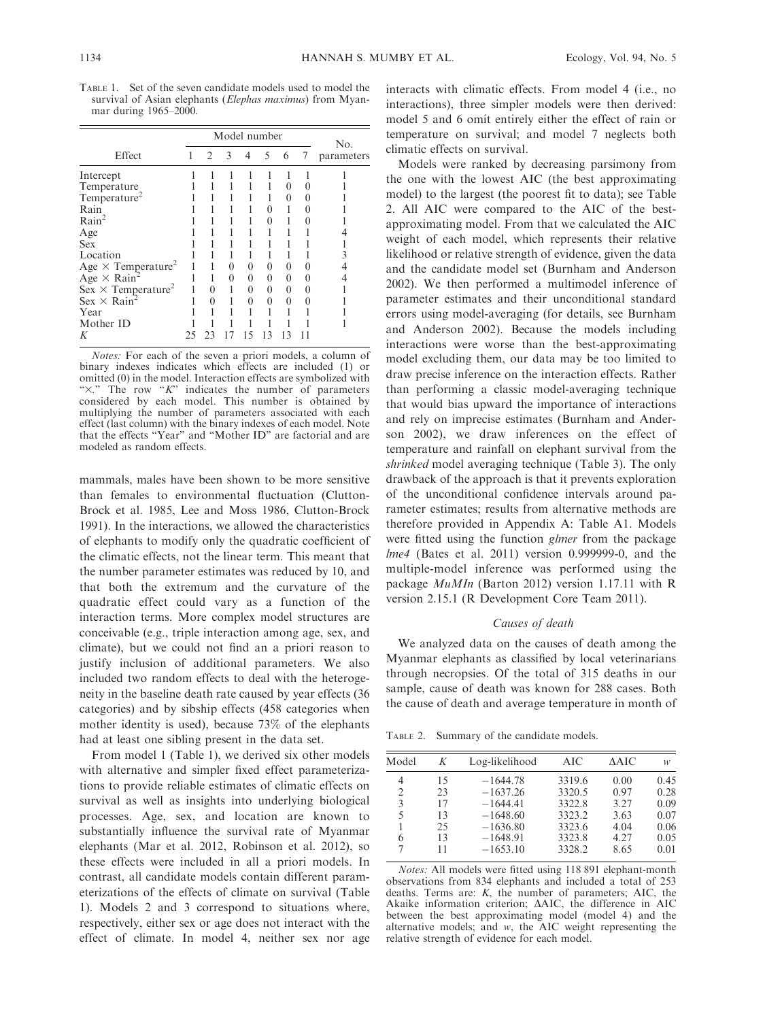TABLE 1. Set of the seven candidate models used to model the survival of Asian elephants (Elephas maximus) from Myanmar during 1965–2000.

|                                       |    | Model number |          |    |                  |    | No.      |            |
|---------------------------------------|----|--------------|----------|----|------------------|----|----------|------------|
| Effect                                |    | 2            | 3        | 4  | 5                | 6  | 7        | parameters |
| Intercept                             |    |              |          |    |                  |    |          |            |
| Temperature                           |    |              |          |    |                  | 0  |          |            |
| Temperature <sup>2</sup>              |    |              |          |    |                  | 0  | 0        |            |
| Rain                                  |    |              |          |    | 0                |    |          |            |
| Rain <sup>2</sup>                     |    |              |          |    | $\Omega$         |    |          |            |
| Age                                   |    |              |          |    |                  |    |          |            |
| <b>Sex</b>                            |    |              |          |    |                  |    |          |            |
| Location                              |    |              |          |    |                  |    |          |            |
| Age $\times$ Temperature <sup>2</sup> |    |              | 0        | 0  | 0                | 0  |          |            |
| Age $\times$ Rain <sup>2</sup>        |    |              | $\Omega$ | 0  | $\boldsymbol{0}$ | 0  | $\theta$ |            |
| $Sex \times Temperature^2$            |    | 0            |          | 0  | $\mathbf{0}$     | 0  | 0        |            |
| $Sex \times Rain^2$                   |    | 0            |          | 0  | $\Omega$         | 0  |          |            |
| Year                                  |    |              |          |    |                  |    |          |            |
| Mother ID                             |    |              |          |    |                  |    |          |            |
| Κ                                     | 25 | 23           |          | 15 | 13               | 13 |          |            |

Notes: For each of the seven a priori models, a column of binary indexes indicates which effects are included (1) or omitted (0) in the model. Interaction effects are symbolized with " $\times$ ." The row " $K$ " indicates the number of parameters considered by each model. This number is obtained by multiplying the number of parameters associated with each effect (last column) with the binary indexes of each model. Note that the effects ''Year'' and ''Mother ID'' are factorial and are modeled as random effects.

mammals, males have been shown to be more sensitive than females to environmental fluctuation (Clutton-Brock et al. 1985, Lee and Moss 1986, Clutton-Brock 1991). In the interactions, we allowed the characteristics of elephants to modify only the quadratic coefficient of the climatic effects, not the linear term. This meant that the number parameter estimates was reduced by 10, and that both the extremum and the curvature of the quadratic effect could vary as a function of the interaction terms. More complex model structures are conceivable (e.g., triple interaction among age, sex, and climate), but we could not find an a priori reason to justify inclusion of additional parameters. We also included two random effects to deal with the heterogeneity in the baseline death rate caused by year effects (36 categories) and by sibship effects (458 categories when mother identity is used), because 73% of the elephants had at least one sibling present in the data set.

From model 1 (Table 1), we derived six other models with alternative and simpler fixed effect parameterizations to provide reliable estimates of climatic effects on survival as well as insights into underlying biological processes. Age, sex, and location are known to substantially influence the survival rate of Myanmar elephants (Mar et al. 2012, Robinson et al. 2012), so these effects were included in all a priori models. In contrast, all candidate models contain different parameterizations of the effects of climate on survival (Table 1). Models 2 and 3 correspond to situations where, respectively, either sex or age does not interact with the effect of climate. In model 4, neither sex nor age

interacts with climatic effects. From model 4 (i.e., no interactions), three simpler models were then derived: model 5 and 6 omit entirely either the effect of rain or temperature on survival; and model 7 neglects both climatic effects on survival.

Models were ranked by decreasing parsimony from the one with the lowest AIC (the best approximating model) to the largest (the poorest fit to data); see Table 2. All AIC were compared to the AIC of the bestapproximating model. From that we calculated the AIC weight of each model, which represents their relative likelihood or relative strength of evidence, given the data and the candidate model set (Burnham and Anderson 2002). We then performed a multimodel inference of parameter estimates and their unconditional standard errors using model-averaging (for details, see Burnham and Anderson 2002). Because the models including interactions were worse than the best-approximating model excluding them, our data may be too limited to draw precise inference on the interaction effects. Rather than performing a classic model-averaging technique that would bias upward the importance of interactions and rely on imprecise estimates (Burnham and Anderson 2002), we draw inferences on the effect of temperature and rainfall on elephant survival from the shrinked model averaging technique (Table 3). The only drawback of the approach is that it prevents exploration of the unconditional confidence intervals around parameter estimates; results from alternative methods are therefore provided in Appendix A: Table A1. Models were fitted using the function glmer from the package lme4 (Bates et al. 2011) version 0.999999-0, and the multiple-model inference was performed using the package *MuMIn* (Barton 2012) version 1.17.11 with R version 2.15.1 (R Development Core Team 2011).

# Causes of death

We analyzed data on the causes of death among the Myanmar elephants as classified by local veterinarians through necropsies. Of the total of 315 deaths in our sample, cause of death was known for 288 cases. Both the cause of death and average temperature in month of

TABLE 2. Summary of the candidate models.

| Model                 | K                                      | Log-likelihood                                                                                 | AIC                                                                | AAIC                                                 | w                                                    |
|-----------------------|----------------------------------------|------------------------------------------------------------------------------------------------|--------------------------------------------------------------------|------------------------------------------------------|------------------------------------------------------|
| 4<br>2<br>3<br>5<br>6 | 15<br>23<br>17<br>13<br>25<br>13<br>11 | $-1644.78$<br>$-1637.26$<br>$-1644.41$<br>$-1648.60$<br>$-1636.80$<br>$-1648.91$<br>$-1653.10$ | 3319.6<br>3320.5<br>3322.8<br>3323.2<br>3323.6<br>3323.8<br>3328.2 | 0.00<br>0.97<br>3.27<br>3.63<br>4.04<br>4.27<br>8.65 | 0.45<br>0.28<br>0.09<br>0.07<br>0.06<br>0.05<br>0.01 |

Notes: All models were fitted using 118 891 elephant-month observations from 834 elephants and included a total of 253 deaths. Terms are: K, the number of parameters; AIC, the Akaike information criterion;  $\triangle AIC$ , the difference in AIC between the best approximating model (model 4) and the alternative models; and w, the AIC weight representing the relative strength of evidence for each model.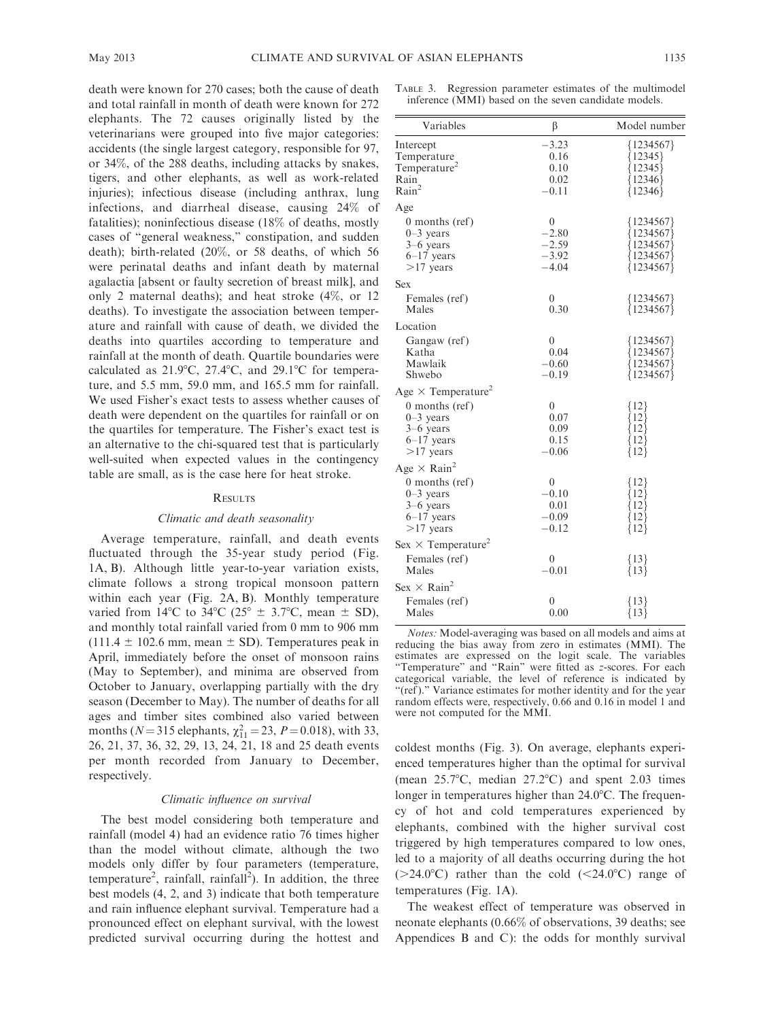death were known for 270 cases; both the cause of death and total rainfall in month of death were known for 272 elephants. The 72 causes originally listed by the veterinarians were grouped into five major categories: accidents (the single largest category, responsible for 97, or 34%, of the 288 deaths, including attacks by snakes, tigers, and other elephants, as well as work-related injuries); infectious disease (including anthrax, lung infections, and diarrheal disease, causing 24% of fatalities); noninfectious disease (18% of deaths, mostly cases of ''general weakness,'' constipation, and sudden death); birth-related (20%, or 58 deaths, of which 56 were perinatal deaths and infant death by maternal agalactia [absent or faulty secretion of breast milk], and only 2 maternal deaths); and heat stroke (4%, or 12 deaths). To investigate the association between temperature and rainfall with cause of death, we divided the deaths into quartiles according to temperature and rainfall at the month of death. Quartile boundaries were calculated as  $21.9^{\circ}$ C,  $27.4^{\circ}$ C, and  $29.1^{\circ}$ C for temperature, and 5.5 mm, 59.0 mm, and 165.5 mm for rainfall. We used Fisher's exact tests to assess whether causes of death were dependent on the quartiles for rainfall or on the quartiles for temperature. The Fisher's exact test is an alternative to the chi-squared test that is particularly well-suited when expected values in the contingency table are small, as is the case here for heat stroke.

#### $R$  est it the

## Climatic and death seasonality

Average temperature, rainfall, and death events fluctuated through the 35-year study period (Fig. 1A, B). Although little year-to-year variation exists, climate follows a strong tropical monsoon pattern within each year (Fig. 2A, B). Monthly temperature varied from 14°C to 34°C ( $25^{\circ} \pm 3.7^{\circ}$ C, mean  $\pm$  SD), and monthly total rainfall varied from 0 mm to 906 mm  $(111.4 \pm 102.6 \text{ mm}, \text{mean} \pm SD)$ . Temperatures peak in April, immediately before the onset of monsoon rains (May to September), and minima are observed from October to January, overlapping partially with the dry season (December to May). The number of deaths for all ages and timber sites combined also varied between months ( $N = 315$  elephants,  $\chi_{11}^2 = 23$ ,  $P = 0.018$ ), with 33, 26, 21, 37, 36, 32, 29, 13, 24, 21, 18 and 25 death events per month recorded from January to December, respectively.

## Climatic influence on survival

The best model considering both temperature and rainfall (model 4) had an evidence ratio 76 times higher than the model without climate, although the two models only differ by four parameters (temperature, temperature<sup>2</sup>, rainfall, rainfall<sup>2</sup>). In addition, the three best models (4, 2, and 3) indicate that both temperature and rain influence elephant survival. Temperature had a pronounced effect on elephant survival, with the lowest predicted survival occurring during the hottest and TABLE 3. Regression parameter estimates of the multimodel inference (MMI) based on the seven candidate models.

| Variables                                                                         | β                                                            | Model number                                                          |
|-----------------------------------------------------------------------------------|--------------------------------------------------------------|-----------------------------------------------------------------------|
| Intercept<br>Temperature<br>Temperature <sup>2</sup><br>Rain<br>Rain <sup>2</sup> | $-3.23$<br>0.16<br>0.10<br>0.02<br>$-0.11$                   | {1234567}<br>${12345}$<br>12345<br>12346<br>${12346}$                 |
| Age                                                                               |                                                              |                                                                       |
| 0 months (ref)<br>$0 - 3$ years<br>$3-6$ years<br>$6-17$ years<br>$>17$ years     | $\boldsymbol{0}$<br>$-2.80$<br>$-2.59$<br>$-3.92$<br>$-4.04$ | {1234567}<br>${1234567}$<br>${1234567}$<br>${1234567}$<br>${1234567}$ |
| <b>Sex</b>                                                                        |                                                              |                                                                       |
| Females (ref)<br>Males                                                            | $\theta$<br>0.30                                             | ${1234567}$<br>${1234567}$                                            |
| Location                                                                          |                                                              |                                                                       |
| Gangaw (ref)<br>Katha<br>Mawlaik<br>Shwebo                                        | $\theta$<br>0.04<br>$-0.60$<br>$-0.19$                       | {1234567}<br>${1234567}$<br>${1234567}$<br>${1234567}$                |
| Age $\times$ Temperature <sup>2</sup>                                             |                                                              |                                                                       |
| $0$ months (ref)<br>$0 - 3$ years<br>$3-6$ years<br>$6-17$ years<br>$>17$ years   | $\overline{0}$<br>0.07<br>0.09<br>0.15<br>$-0.06$            | {12}<br>{12}<br>(12)<br>{12}<br>{12}                                  |
| Age $\times$ Rain <sup>2</sup>                                                    |                                                              |                                                                       |
| 0 months (ref)<br>$0-3$ years<br>3-6 years<br>$6-17$ years<br>$>17$ years         | $\mathbf{0}$<br>$-0.10$<br>0.01<br>$-0.09$<br>$-0.12$        | $\{12\}$<br>${12}$<br>{12}<br>${12}$<br>{12}                          |
| Sex $\times$ Temperature <sup>2</sup>                                             |                                                              |                                                                       |
| Females (ref)<br>Males                                                            | 0<br>$-0.01$                                                 | ${13}$<br>${13}$                                                      |
| $Sex \times Rain^2$                                                               |                                                              |                                                                       |
| Females (ref)<br>Males                                                            | $\mathbf{0}$<br>0.00                                         | {13}<br>${13}$                                                        |

Notes: Model-averaging was based on all models and aims at reducing the bias away from zero in estimates (MMI). The estimates are expressed on the logit scale. The variables "Temperature" and "Rain" were fitted as z-scores. For each categorical variable, the level of reference is indicated by "(ref)." Variance estimates for mother identity and for the year random effects were, respectively, 0.66 and 0.16 in model 1 and were not computed for the MMI.

coldest months (Fig. 3). On average, elephants experienced temperatures higher than the optimal for survival (mean  $25.7^{\circ}$ C, median  $27.2^{\circ}$ C) and spent 2.03 times longer in temperatures higher than  $24.0^{\circ}$ C. The frequency of hot and cold temperatures experienced by elephants, combined with the higher survival cost triggered by high temperatures compared to low ones, led to a majority of all deaths occurring during the hot ( $>24.0^{\circ}$ C) rather than the cold ( $< 24.0^{\circ}$ C) range of temperatures (Fig. 1A).

The weakest effect of temperature was observed in neonate elephants (0.66% of observations, 39 deaths; see Appendices B and C): the odds for monthly survival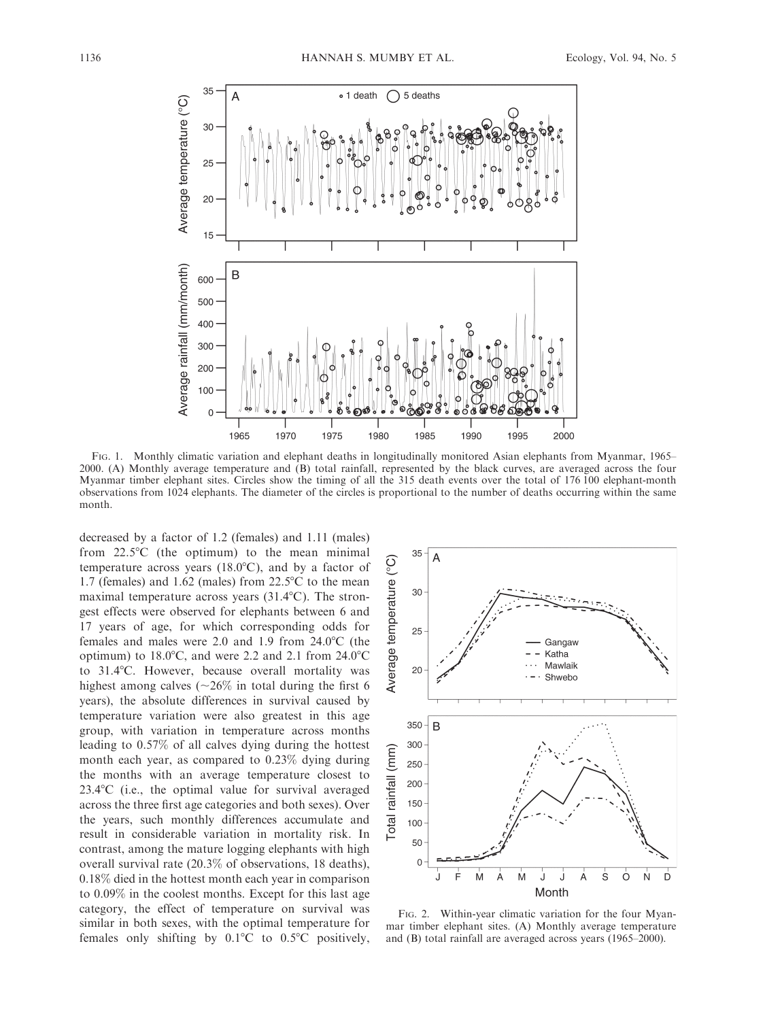

FIG. 1. Monthly climatic variation and elephant deaths in longitudinally monitored Asian elephants from Myanmar, 1965– 2000. (A) Monthly average temperature and (B) total rainfall, represented by the black curves, are averaged across the four Myanmar timber elephant sites. Circles show the timing of all the 315 death events over the total of 176 100 elephant-month observations from 1024 elephants. The diameter of the circles is proportional to the number of deaths occurring within the same month.

decreased by a factor of 1.2 (females) and 1.11 (males) from  $22.5^{\circ}$ C (the optimum) to the mean minimal temperature across years  $(18.0^{\circ}C)$ , and by a factor of 1.7 (females) and 1.62 (males) from  $22.5^{\circ}$ C to the mean maximal temperature across years  $(31.4^{\circ}C)$ . The strongest effects were observed for elephants between 6 and 17 years of age, for which corresponding odds for females and males were  $2.0$  and  $1.9$  from  $24.0^{\circ}$ C (the optimum) to  $18.0^{\circ}$ C, and were 2.2 and 2.1 from  $24.0^{\circ}$ C to 31.4°C. However, because overall mortality was highest among calves  $({\sim}26\%$  in total during the first 6 years), the absolute differences in survival caused by temperature variation were also greatest in this age group, with variation in temperature across months leading to 0.57% of all calves dying during the hottest month each year, as compared to 0.23% dying during the months with an average temperature closest to  $23.4^{\circ}$ C (i.e., the optimal value for survival averaged across the three first age categories and both sexes). Over the years, such monthly differences accumulate and result in considerable variation in mortality risk. In contrast, among the mature logging elephants with high overall survival rate (20.3% of observations, 18 deaths), 0.18% died in the hottest month each year in comparison to 0.09% in the coolest months. Except for this last age category, the effect of temperature on survival was similar in both sexes, with the optimal temperature for females only shifting by  $0.1^{\circ}$ C to  $0.5^{\circ}$ C positively,



FIG. 2. Within-year climatic variation for the four Myanmar timber elephant sites. (A) Monthly average temperature and (B) total rainfall are averaged across years (1965–2000).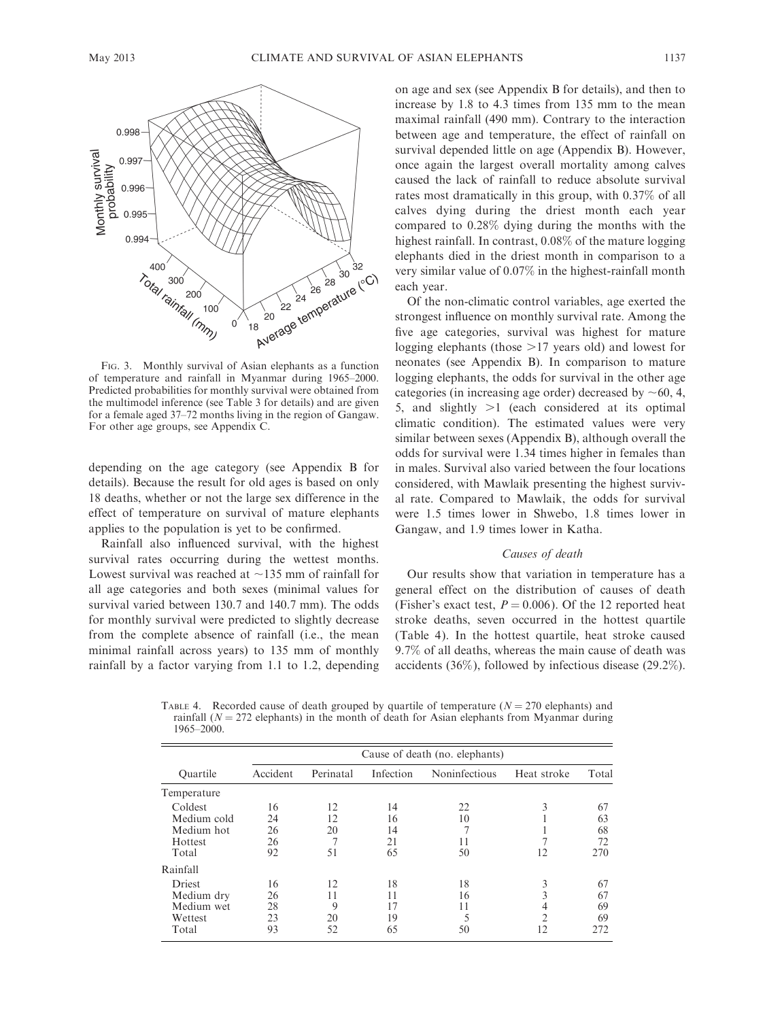

FIG. 3. Monthly survival of Asian elephants as a function of temperature and rainfall in Myanmar during 1965–2000. Predicted probabilities for monthly survival were obtained from the multimodel inference (see Table 3 for details) and are given for a female aged 37–72 months living in the region of Gangaw. For other age groups, see Appendix C.

depending on the age category (see Appendix B for details). Because the result for old ages is based on only 18 deaths, whether or not the large sex difference in the effect of temperature on survival of mature elephants applies to the population is yet to be confirmed.

Rainfall also influenced survival, with the highest survival rates occurring during the wettest months. Lowest survival was reached at  $\sim$ 135 mm of rainfall for all age categories and both sexes (minimal values for survival varied between 130.7 and 140.7 mm). The odds for monthly survival were predicted to slightly decrease from the complete absence of rainfall (i.e., the mean minimal rainfall across years) to 135 mm of monthly rainfall by a factor varying from 1.1 to 1.2, depending on age and sex (see Appendix B for details), and then to increase by 1.8 to 4.3 times from 135 mm to the mean maximal rainfall (490 mm). Contrary to the interaction between age and temperature, the effect of rainfall on survival depended little on age (Appendix B). However, once again the largest overall mortality among calves caused the lack of rainfall to reduce absolute survival rates most dramatically in this group, with 0.37% of all calves dying during the driest month each year compared to 0.28% dying during the months with the highest rainfall. In contrast, 0.08% of the mature logging elephants died in the driest month in comparison to a very similar value of 0.07% in the highest-rainfall month each year.

Of the non-climatic control variables, age exerted the strongest influence on monthly survival rate. Among the five age categories, survival was highest for mature logging elephants (those  $>17$  years old) and lowest for neonates (see Appendix B). In comparison to mature logging elephants, the odds for survival in the other age categories (in increasing age order) decreased by  $\sim 60, 4$ , 5, and slightly  $>1$  (each considered at its optimal climatic condition). The estimated values were very similar between sexes (Appendix B), although overall the odds for survival were 1.34 times higher in females than in males. Survival also varied between the four locations considered, with Mawlaik presenting the highest survival rate. Compared to Mawlaik, the odds for survival were 1.5 times lower in Shwebo, 1.8 times lower in Gangaw, and 1.9 times lower in Katha.

# Causes of death

Our results show that variation in temperature has a general effect on the distribution of causes of death (Fisher's exact test,  $P = 0.006$ ). Of the 12 reported heat stroke deaths, seven occurred in the hottest quartile (Table 4). In the hottest quartile, heat stroke caused 9.7% of all deaths, whereas the main cause of death was accidents (36%), followed by infectious disease (29.2%).

TABLE 4. Recorded cause of death grouped by quartile of temperature  $(N = 270$  elephants) and rainfall  $(N = 272$  elephants) in the month of death for Asian elephants from Myanmar during 1965–2000.

| Ouartile    | Cause of death (no. elephants) |           |           |               |             |       |  |  |  |
|-------------|--------------------------------|-----------|-----------|---------------|-------------|-------|--|--|--|
|             | Accident                       | Perinatal | Infection | Noninfectious | Heat stroke | Total |  |  |  |
| Temperature |                                |           |           |               |             |       |  |  |  |
| Coldest     | 16                             | 12        | 14        | 22            |             | 67    |  |  |  |
| Medium cold | 24                             | 12        | 16        | 10            |             | 63    |  |  |  |
| Medium hot  | 26                             | 20        | 14        |               |             | 68    |  |  |  |
| Hottest     | 26                             |           | 21        | 11            |             | 72    |  |  |  |
| Total       | 92                             | 51        | 65        | 50            | 12          | 270   |  |  |  |
| Rainfall    |                                |           |           |               |             |       |  |  |  |
| Driest      | 16                             | 12        | 18        | 18            |             | 67    |  |  |  |
| Medium dry  | 26                             | 11        | 11        | 16            |             | 67    |  |  |  |
| Medium wet  | 28                             | 9         | 17        | 11            |             | 69    |  |  |  |
| Wettest     | 23                             | 20        | 19        | 5             |             | 69    |  |  |  |
| Total       | 93                             | 52        | 65        | 50            |             | 272   |  |  |  |
|             |                                |           |           |               |             |       |  |  |  |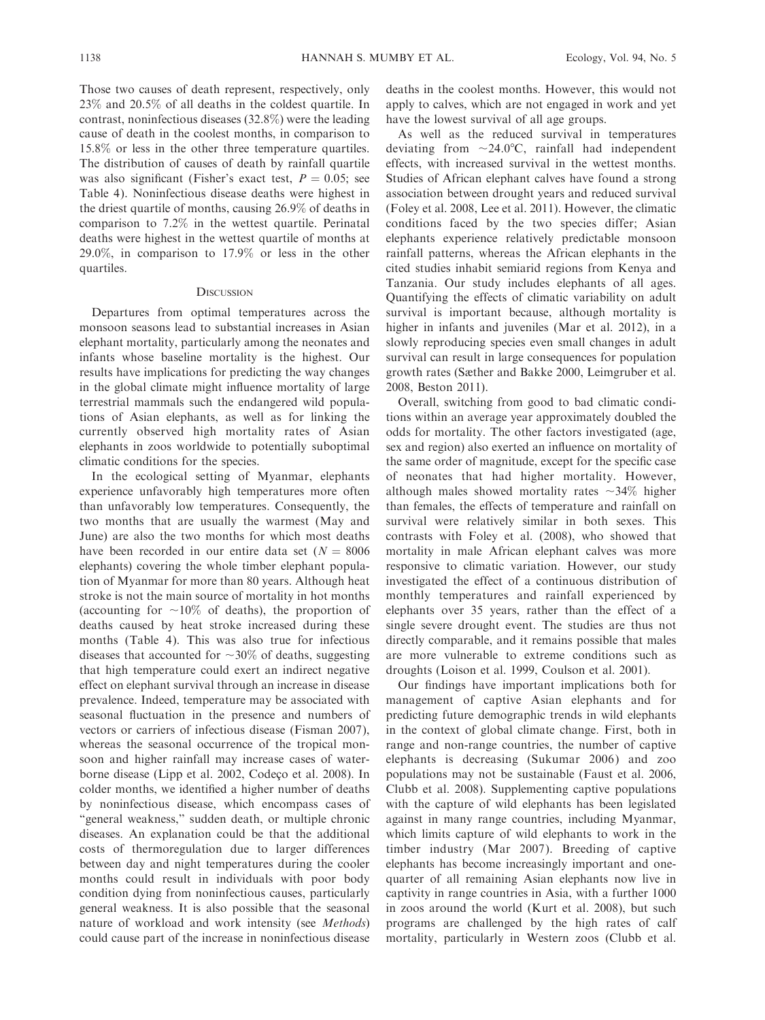Those two causes of death represent, respectively, only 23% and 20.5% of all deaths in the coldest quartile. In contrast, noninfectious diseases (32.8%) were the leading cause of death in the coolest months, in comparison to 15.8% or less in the other three temperature quartiles. The distribution of causes of death by rainfall quartile was also significant (Fisher's exact test,  $P = 0.05$ ; see Table 4). Noninfectious disease deaths were highest in the driest quartile of months, causing 26.9% of deaths in comparison to 7.2% in the wettest quartile. Perinatal deaths were highest in the wettest quartile of months at 29.0%, in comparison to 17.9% or less in the other quartiles.

## **DISCUSSION**

Departures from optimal temperatures across the monsoon seasons lead to substantial increases in Asian elephant mortality, particularly among the neonates and infants whose baseline mortality is the highest. Our results have implications for predicting the way changes in the global climate might influence mortality of large terrestrial mammals such the endangered wild populations of Asian elephants, as well as for linking the currently observed high mortality rates of Asian elephants in zoos worldwide to potentially suboptimal climatic conditions for the species.

In the ecological setting of Myanmar, elephants experience unfavorably high temperatures more often than unfavorably low temperatures. Consequently, the two months that are usually the warmest (May and June) are also the two months for which most deaths have been recorded in our entire data set  $(N = 8006$ elephants) covering the whole timber elephant population of Myanmar for more than 80 years. Although heat stroke is not the main source of mortality in hot months (accounting for  $\sim 10\%$  of deaths), the proportion of deaths caused by heat stroke increased during these months (Table 4). This was also true for infectious diseases that accounted for  $\sim$ 30% of deaths, suggesting that high temperature could exert an indirect negative effect on elephant survival through an increase in disease prevalence. Indeed, temperature may be associated with seasonal fluctuation in the presence and numbers of vectors or carriers of infectious disease (Fisman 2007), whereas the seasonal occurrence of the tropical monsoon and higher rainfall may increase cases of waterborne disease (Lipp et al. 2002, Codeço et al. 2008). In colder months, we identified a higher number of deaths by noninfectious disease, which encompass cases of ''general weakness,'' sudden death, or multiple chronic diseases. An explanation could be that the additional costs of thermoregulation due to larger differences between day and night temperatures during the cooler months could result in individuals with poor body condition dying from noninfectious causes, particularly general weakness. It is also possible that the seasonal nature of workload and work intensity (see Methods) could cause part of the increase in noninfectious disease

deaths in the coolest months. However, this would not apply to calves, which are not engaged in work and yet have the lowest survival of all age groups.

As well as the reduced survival in temperatures deviating from  $\sim$ 24.0°C, rainfall had independent effects, with increased survival in the wettest months. Studies of African elephant calves have found a strong association between drought years and reduced survival (Foley et al. 2008, Lee et al. 2011). However, the climatic conditions faced by the two species differ; Asian elephants experience relatively predictable monsoon rainfall patterns, whereas the African elephants in the cited studies inhabit semiarid regions from Kenya and Tanzania. Our study includes elephants of all ages. Quantifying the effects of climatic variability on adult survival is important because, although mortality is higher in infants and juveniles (Mar et al. 2012), in a slowly reproducing species even small changes in adult survival can result in large consequences for population growth rates (Sæther and Bakke 2000, Leimgruber et al. 2008, Beston 2011).

Overall, switching from good to bad climatic conditions within an average year approximately doubled the odds for mortality. The other factors investigated (age, sex and region) also exerted an influence on mortality of the same order of magnitude, except for the specific case of neonates that had higher mortality. However, although males showed mortality rates  $\sim$ 34% higher than females, the effects of temperature and rainfall on survival were relatively similar in both sexes. This contrasts with Foley et al. (2008), who showed that mortality in male African elephant calves was more responsive to climatic variation. However, our study investigated the effect of a continuous distribution of monthly temperatures and rainfall experienced by elephants over 35 years, rather than the effect of a single severe drought event. The studies are thus not directly comparable, and it remains possible that males are more vulnerable to extreme conditions such as droughts (Loison et al. 1999, Coulson et al. 2001).

Our findings have important implications both for management of captive Asian elephants and for predicting future demographic trends in wild elephants in the context of global climate change. First, both in range and non-range countries, the number of captive elephants is decreasing (Sukumar 2006) and zoo populations may not be sustainable (Faust et al. 2006, Clubb et al. 2008). Supplementing captive populations with the capture of wild elephants has been legislated against in many range countries, including Myanmar, which limits capture of wild elephants to work in the timber industry (Mar 2007). Breeding of captive elephants has become increasingly important and onequarter of all remaining Asian elephants now live in captivity in range countries in Asia, with a further 1000 in zoos around the world (Kurt et al. 2008), but such programs are challenged by the high rates of calf mortality, particularly in Western zoos (Clubb et al.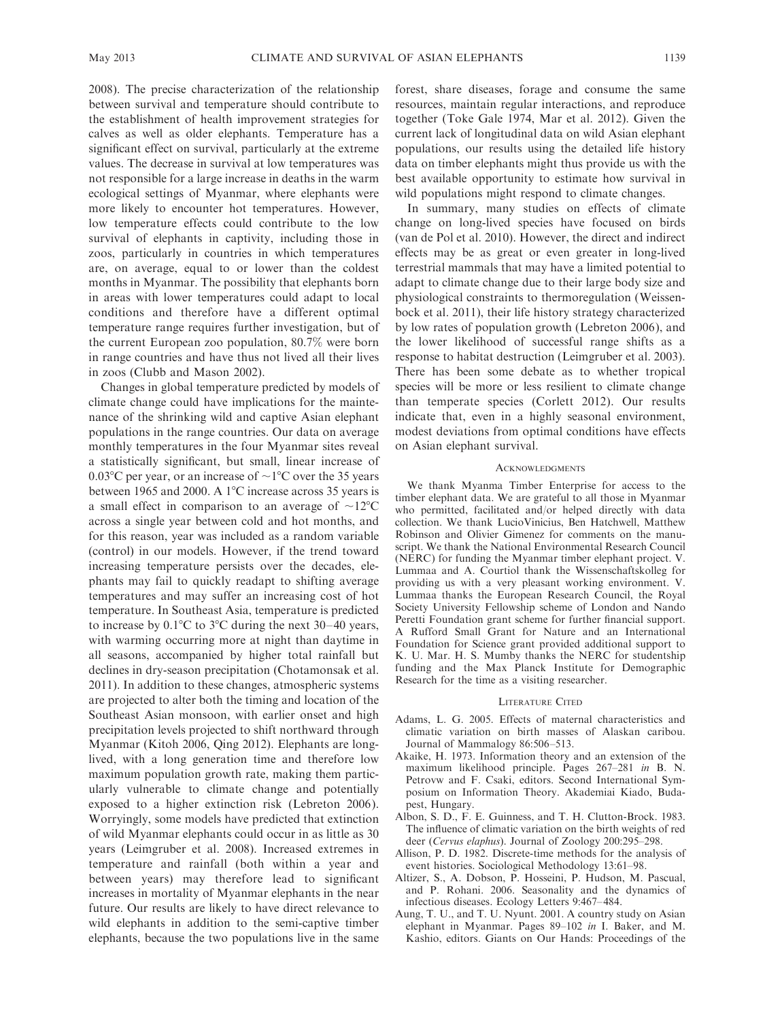2008). The precise characterization of the relationship between survival and temperature should contribute to the establishment of health improvement strategies for calves as well as older elephants. Temperature has a significant effect on survival, particularly at the extreme values. The decrease in survival at low temperatures was not responsible for a large increase in deaths in the warm ecological settings of Myanmar, where elephants were more likely to encounter hot temperatures. However, low temperature effects could contribute to the low survival of elephants in captivity, including those in zoos, particularly in countries in which temperatures are, on average, equal to or lower than the coldest months in Myanmar. The possibility that elephants born in areas with lower temperatures could adapt to local conditions and therefore have a different optimal temperature range requires further investigation, but of the current European zoo population, 80.7% were born in range countries and have thus not lived all their lives in zoos (Clubb and Mason 2002).

Changes in global temperature predicted by models of climate change could have implications for the maintenance of the shrinking wild and captive Asian elephant populations in the range countries. Our data on average monthly temperatures in the four Myanmar sites reveal a statistically significant, but small, linear increase of 0.03°C per year, or an increase of  $\sim$ 1°C over the 35 years between 1965 and 2000. A 1 $\degree$ C increase across 35 years is a small effect in comparison to an average of  $\sim 12^{\circ}C$ across a single year between cold and hot months, and for this reason, year was included as a random variable (control) in our models. However, if the trend toward increasing temperature persists over the decades, elephants may fail to quickly readapt to shifting average temperatures and may suffer an increasing cost of hot temperature. In Southeast Asia, temperature is predicted to increase by  $0.1^{\circ}$ C to  $3^{\circ}$ C during the next 30–40 years, with warming occurring more at night than daytime in all seasons, accompanied by higher total rainfall but declines in dry-season precipitation (Chotamonsak et al. 2011). In addition to these changes, atmospheric systems are projected to alter both the timing and location of the Southeast Asian monsoon, with earlier onset and high precipitation levels projected to shift northward through Myanmar (Kitoh 2006, Qing 2012). Elephants are longlived, with a long generation time and therefore low maximum population growth rate, making them particularly vulnerable to climate change and potentially exposed to a higher extinction risk (Lebreton 2006). Worryingly, some models have predicted that extinction of wild Myanmar elephants could occur in as little as 30 years (Leimgruber et al. 2008). Increased extremes in temperature and rainfall (both within a year and between years) may therefore lead to significant increases in mortality of Myanmar elephants in the near future. Our results are likely to have direct relevance to wild elephants in addition to the semi-captive timber elephants, because the two populations live in the same forest, share diseases, forage and consume the same resources, maintain regular interactions, and reproduce together (Toke Gale 1974, Mar et al. 2012). Given the current lack of longitudinal data on wild Asian elephant populations, our results using the detailed life history data on timber elephants might thus provide us with the best available opportunity to estimate how survival in wild populations might respond to climate changes.

In summary, many studies on effects of climate change on long-lived species have focused on birds (van de Pol et al. 2010). However, the direct and indirect effects may be as great or even greater in long-lived terrestrial mammals that may have a limited potential to adapt to climate change due to their large body size and physiological constraints to thermoregulation (Weissenbock et al. 2011), their life history strategy characterized by low rates of population growth (Lebreton 2006), and the lower likelihood of successful range shifts as a response to habitat destruction (Leimgruber et al. 2003). There has been some debate as to whether tropical species will be more or less resilient to climate change than temperate species (Corlett 2012). Our results indicate that, even in a highly seasonal environment, modest deviations from optimal conditions have effects on Asian elephant survival.

#### ACKNOWLEDGMENTS

We thank Myanma Timber Enterprise for access to the timber elephant data. We are grateful to all those in Myanmar who permitted, facilitated and/or helped directly with data collection. We thank LucioVinicius, Ben Hatchwell, Matthew Robinson and Olivier Gimenez for comments on the manuscript. We thank the National Environmental Research Council (NERC) for funding the Myanmar timber elephant project. V. Lummaa and A. Courtiol thank the Wissenschaftskolleg for providing us with a very pleasant working environment. V. Lummaa thanks the European Research Council, the Royal Society University Fellowship scheme of London and Nando Peretti Foundation grant scheme for further financial support. A Rufford Small Grant for Nature and an International Foundation for Science grant provided additional support to K. U. Mar. H. S. Mumby thanks the NERC for studentship funding and the Max Planck Institute for Demographic Research for the time as a visiting researcher.

#### LITERATURE CITED

- Adams, L. G. 2005. Effects of maternal characteristics and climatic variation on birth masses of Alaskan caribou. Journal of Mammalogy 86:506–513.
- Akaike, H. 1973. Information theory and an extension of the maximum likelihood principle. Pages 267–281 in B. N. Petrovw and F. Csaki, editors. Second International Symposium on Information Theory. Akademiai Kiado, Budapest, Hungary.
- Albon, S. D., F. E. Guinness, and T. H. Clutton-Brock. 1983. The influence of climatic variation on the birth weights of red deer (Cervus elaphus). Journal of Zoology 200:295–298.
- Allison, P. D. 1982. Discrete-time methods for the analysis of event histories. Sociological Methodology 13:61–98.
- Altizer, S., A. Dobson, P. Hosseini, P. Hudson, M. Pascual, and P. Rohani. 2006. Seasonality and the dynamics of infectious diseases. Ecology Letters 9:467–484.
- Aung, T. U., and T. U. Nyunt. 2001. A country study on Asian elephant in Myanmar. Pages 89–102 in I. Baker, and M. Kashio, editors. Giants on Our Hands: Proceedings of the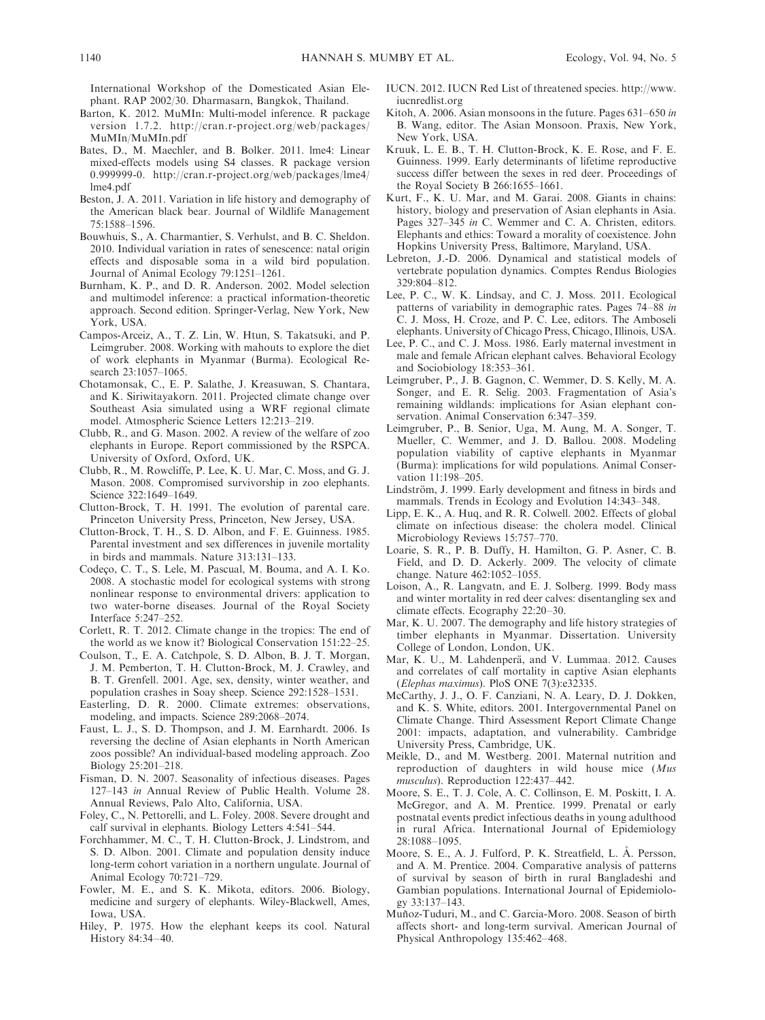International Workshop of the Domesticated Asian Elephant. RAP 2002/30. Dharmasarn, Bangkok, Thailand.

- Barton, K. 2012. MuMIn: Multi-model inference. R package version 1.7.2. http://cran.r-project.org/web/packages/ MuMIn/MuMIn.pdf
- Bates, D., M. Maechler, and B. Bolker. 2011. lme4: Linear mixed-effects models using S4 classes. R package version 0.999999-0. http://cran.r-project.org/web/packages/lme4/ lme4.pdf
- Beston, J. A. 2011. Variation in life history and demography of the American black bear. Journal of Wildlife Management 75:1588–1596.
- Bouwhuis, S., A. Charmantier, S. Verhulst, and B. C. Sheldon. 2010. Individual variation in rates of senescence: natal origin effects and disposable soma in a wild bird population. Journal of Animal Ecology 79:1251–1261.
- Burnham, K. P., and D. R. Anderson. 2002. Model selection and multimodel inference: a practical information-theoretic approach. Second edition. Springer-Verlag, New York, New York, USA.
- Campos-Arceiz, A., T. Z. Lin, W. Htun, S. Takatsuki, and P. Leimgruber. 2008. Working with mahouts to explore the diet of work elephants in Myanmar (Burma). Ecological Research 23:1057–1065.
- Chotamonsak, C., E. P. Salathe, J. Kreasuwan, S. Chantara, and K. Siriwitayakorn. 2011. Projected climate change over Southeast Asia simulated using a WRF regional climate model. Atmospheric Science Letters 12:213–219.
- Clubb, R., and G. Mason. 2002. A review of the welfare of zoo elephants in Europe. Report commissioned by the RSPCA. University of Oxford, Oxford, UK.
- Clubb, R., M. Rowcliffe, P. Lee, K. U. Mar, C. Moss, and G. J. Mason. 2008. Compromised survivorship in zoo elephants. Science 322:1649–1649.
- Clutton-Brock, T. H. 1991. The evolution of parental care. Princeton University Press, Princeton, New Jersey, USA.
- Clutton-Brock, T. H., S. D. Albon, and F. E. Guinness. 1985. Parental investment and sex differences in juvenile mortality in birds and mammals. Nature 313:131–133.
- Codeço, C. T., S. Lele, M. Pascual, M. Bouma, and A. I. Ko. 2008. A stochastic model for ecological systems with strong nonlinear response to environmental drivers: application to two water-borne diseases. Journal of the Royal Society Interface 5:247–252.
- Corlett, R. T. 2012. Climate change in the tropics: The end of the world as we know it? Biological Conservation 151:22–25.
- Coulson, T., E. A. Catchpole, S. D. Albon, B. J. T. Morgan, J. M. Pemberton, T. H. Clutton-Brock, M. J. Crawley, and B. T. Grenfell. 2001. Age, sex, density, winter weather, and population crashes in Soay sheep. Science 292:1528–1531.
- Easterling, D. R. 2000. Climate extremes: observations, modeling, and impacts. Science 289:2068–2074.
- Faust, L. J., S. D. Thompson, and J. M. Earnhardt. 2006. Is reversing the decline of Asian elephants in North American zoos possible? An individual-based modeling approach. Zoo Biology 25:201–218.
- Fisman, D. N. 2007. Seasonality of infectious diseases. Pages 127–143 in Annual Review of Public Health. Volume 28. Annual Reviews, Palo Alto, California, USA.
- Foley, C., N. Pettorelli, and L. Foley. 2008. Severe drought and calf survival in elephants. Biology Letters 4:541–544.
- Forchhammer, M. C., T. H. Clutton-Brock, J. Lindstrom, and S. D. Albon. 2001. Climate and population density induce long-term cohort variation in a northern ungulate. Journal of Animal Ecology 70:721–729.
- Fowler, M. E., and S. K. Mikota, editors. 2006. Biology, medicine and surgery of elephants. Wiley-Blackwell, Ames, Iowa, USA.
- Hiley, P. 1975. How the elephant keeps its cool. Natural History 84:34–40.
- IUCN. 2012. IUCN Red List of threatened species. http://www. iucnredlist.org
- Kitoh, A. 2006. Asian monsoons in the future. Pages 631–650 in B. Wang, editor. The Asian Monsoon. Praxis, New York, New York, USA.
- Kruuk, L. E. B., T. H. Clutton-Brock, K. E. Rose, and F. E. Guinness. 1999. Early determinants of lifetime reproductive success differ between the sexes in red deer. Proceedings of the Royal Society B 266:1655–1661.
- Kurt, F., K. U. Mar, and M. Garai. 2008. Giants in chains: history, biology and preservation of Asian elephants in Asia. Pages 327–345 in C. Wemmer and C. A. Christen, editors. Elephants and ethics: Toward a morality of coexistence. John Hopkins University Press, Baltimore, Maryland, USA.
- Lebreton, J.-D. 2006. Dynamical and statistical models of vertebrate population dynamics. Comptes Rendus Biologies 329:804–812.
- Lee, P. C., W. K. Lindsay, and C. J. Moss. 2011. Ecological patterns of variability in demographic rates. Pages 74–88 in C. J. Moss, H. Croze, and P. C. Lee, editors. The Amboseli elephants. University of Chicago Press, Chicago, Illinois, USA.
- Lee, P. C., and C. J. Moss. 1986. Early maternal investment in male and female African elephant calves. Behavioral Ecology and Sociobiology 18:353–361.
- Leimgruber, P., J. B. Gagnon, C. Wemmer, D. S. Kelly, M. A. Songer, and E. R. Selig. 2003. Fragmentation of Asia's remaining wildlands: implications for Asian elephant conservation. Animal Conservation 6:347–359.
- Leimgruber, P., B. Senior, Uga, M. Aung, M. A. Songer, T. Mueller, C. Wemmer, and J. D. Ballou. 2008. Modeling population viability of captive elephants in Myanmar (Burma): implications for wild populations. Animal Conservation 11:198–205.
- Lindström, J. 1999. Early development and fitness in birds and mammals. Trends in Ecology and Evolution 14:343–348.
- Lipp, E. K., A. Huq, and R. R. Colwell. 2002. Effects of global climate on infectious disease: the cholera model. Clinical Microbiology Reviews 15:757–770.
- Loarie, S. R., P. B. Duffy, H. Hamilton, G. P. Asner, C. B. Field, and D. D. Ackerly. 2009. The velocity of climate change. Nature 462:1052–1055.
- Loison, A., R. Langvatn, and E. J. Solberg. 1999. Body mass and winter mortality in red deer calves: disentangling sex and climate effects. Ecography 22:20–30.
- Mar, K. U. 2007. The demography and life history strategies of timber elephants in Myanmar. Dissertation. University College of London, London, UK.
- Mar, K. U., M. Lahdenperä, and V. Lummaa. 2012. Causes and correlates of calf mortality in captive Asian elephants (Elephas maximus). PloS ONE 7(3):e32335.
- McCarthy, J. J., O. F. Canziani, N. A. Leary, D. J. Dokken, and K. S. White, editors. 2001. Intergovernmental Panel on Climate Change. Third Assessment Report Climate Change 2001: impacts, adaptation, and vulnerability. Cambridge University Press, Cambridge, UK.
- Meikle, D., and M. Westberg. 2001. Maternal nutrition and reproduction of daughters in wild house mice (Mus musculus). Reproduction 122:437–442.
- Moore, S. E., T. J. Cole, A. C. Collinson, E. M. Poskitt, I. A. McGregor, and A. M. Prentice. 1999. Prenatal or early postnatal events predict infectious deaths in young adulthood in rural Africa. International Journal of Epidemiology 28:1088–1095.
- Moore, S. E., A. J. Fulford, P. K. Streatfield, L. Å. Persson, and A. M. Prentice. 2004. Comparative analysis of patterns of survival by season of birth in rural Bangladeshi and Gambian populations. International Journal of Epidemiology 33:137–143.
- Muñoz-Tuduri, M., and C. Garcia-Moro. 2008. Season of birth affects short- and long-term survival. American Journal of Physical Anthropology 135:462–468.